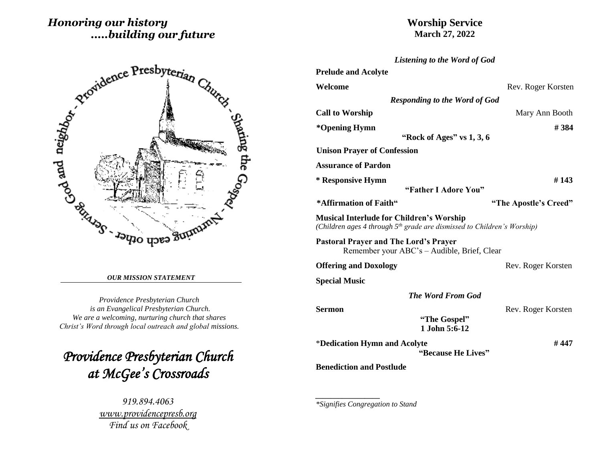# *Honoring our history .....building our future*

# Sharing the Gog   $\overline{1}$

#### *OUR MISSION STATEMENT*

*Providence Presbyterian Church is an Evangelical Presbyterian Church. We are a welcoming, nurturing church that shares Christ's Word through local outreach and global missions.*

*Providence Presbyterian Church at McGee's Crossroads* 

> *919.894.4063 [www.providencepresb.org](http://www.providencepresb.org/) Find us on Facebook*

# **Worship Service March 27, 2022**

| Listening to the Word of God                                                                                                           |                       |
|----------------------------------------------------------------------------------------------------------------------------------------|-----------------------|
| <b>Prelude and Acolyte</b>                                                                                                             |                       |
| Welcome                                                                                                                                | Rev. Roger Korsten    |
| <b>Responding to the Word of God</b>                                                                                                   |                       |
| <b>Call to Worship</b>                                                                                                                 | Mary Ann Booth        |
| *Opening Hymn<br>"Rock of Ages" vs $1, 3, 6$                                                                                           | # 384                 |
| <b>Unison Prayer of Confession</b>                                                                                                     |                       |
| <b>Assurance of Pardon</b>                                                                                                             |                       |
| * Responsive Hymn<br>"Father I Adore You"                                                                                              | #143                  |
| *Affirmation of Faith"                                                                                                                 | "The Apostle's Creed" |
| <b>Musical Interlude for Children's Worship</b><br>(Children ages 4 through 5 <sup>th</sup> grade are dismissed to Children's Worship) |                       |
| <b>Pastoral Prayer and The Lord's Prayer</b><br>Remember your ABC's - Audible, Brief, Clear                                            |                       |
| <b>Offering and Doxology</b>                                                                                                           | Rev. Roger Korsten    |
| <b>Special Music</b>                                                                                                                   |                       |
| <b>The Word From God</b>                                                                                                               |                       |
| <b>Sermon</b>                                                                                                                          | Rev. Roger Korsten    |
| "The Gospel"<br>1 John 5:6-12                                                                                                          |                       |
| *Dedication Hymn and Acolyte<br>"Because He Lives"                                                                                     | # 447                 |
| <b>Benediction and Postlude</b>                                                                                                        |                       |
|                                                                                                                                        |                       |
|                                                                                                                                        |                       |

*\*Signifies Congregation to Stand*

*\_\_\_\_\_\_\_\_\_\_\_\_\_\_\_\_\_*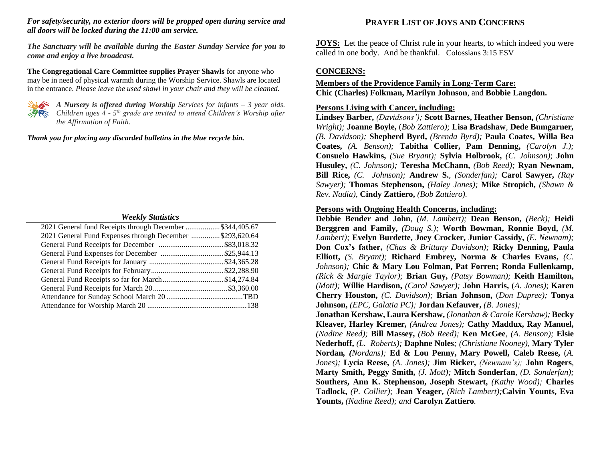#### *For safety/security, no exterior doors will be propped open during service and all doors will be locked during the 11:00 am service.*

*The Sanctuary will be available during the Easter Sunday Service for you to come and enjoy a live broadcast.*

**The Congregational Care Committee supplies Prayer Shawls** for anyone who may be in need of physical warmth during the Worship Service. Shawls are located in the entrance. *Please leave the used shawl in your chair and they will be cleaned.*



*A Nursery is offered during Worship Services for infants – 3 year olds. Children ages 4 - 5 th grade are invited to attend Children's Worship after the Affirmation of Faith.*

*Thank you for placing any discarded bulletins in the blue recycle bin.*

#### *Weekly Statistics*

| 2021 General fund Receipts through December \$344,405.67 |  |
|----------------------------------------------------------|--|
| 2021 General Fund Expenses through December \$293,620.64 |  |
|                                                          |  |
|                                                          |  |
|                                                          |  |
|                                                          |  |
| General Fund Receipts so far for March\$14,274.84        |  |
|                                                          |  |
|                                                          |  |
|                                                          |  |
|                                                          |  |

# **PRAYER LIST OF JOYS AND CONCERNS**

**JOYS:** Let the peace of Christ rule in your hearts, to which indeed you were called in one body. And be thankful. Colossians 3:15 ESV

# **CONCERNS:**

# **Members of the Providence Family in Long-Term Care: Chic (Charles) Folkman, Marilyn Johnson**, and **Bobbie Langdon.**

## **Persons Living with Cancer, including:**

**Lindsey Barber,** *(Davidsons');* **Scott Barnes, Heather Benson,** *(Christiane Wright);* **Joanne Boyle,** (*Bob Zattiero);* **Lisa Bradshaw***,* **Dede Bumgarner***, (B. Davidson);* **Shepherd Byrd,** *(Brenda Byrd);* **Paula Coates, Willa Bea Coates,** *(A. Benson);* **Tabitha Collier, Pam Denning,** *(Carolyn J.);* **Consuelo Hawkins,** *(Sue Bryant);* **Sylvia Holbrook,** *(C. Johnson)*; **John Husuley,** *(C. Johnson);* **Teresha McChann,** *(Bob Reed);* **Ryan Newnam, Bill Rice,** *(C. Johnson);* **Andrew S.**, *(Sonderfan);* **Carol Sawyer,** *(Ray Sawyer);* **Thomas Stephenson,** *(Haley Jones);* **Mike Stropich,** *(Shawn & Rev. Nadia),* **Cindy Zattiero,** *(Bob Zattiero).*

### **Persons with Ongoing Health Concerns, including:**

**Debbie Bender and John***, (M. Lambert);* **Dean Benson,** *(Beck);* **Heidi Berggren and Family,** *(Doug S.);* **Worth Bowman, Ronnie Boyd,** *(M. Lambert);* **Evelyn Burdette, Joey Crocker, Junior Cassidy,** *(E. Newnam);* **Don Cox's father,** *(Chas & Brittany Davidson);* **Ricky Denning, Paula Elliott,** *(S. Bryant);* **Richard Embrey, Norma & Charles Evans,** *(C. Johnson);* **Chic & Mary Lou Folman, Pat Forren; Ronda Fullenkamp,**  *(Rick & Margie Taylor);* **Brian Guy,** *(Patsy Bowman);* **Keith Hamilton,** *(Mott);* **Willie Hardison,** *(Carol Sawyer);* **John Harris,** (*A. Jones)*; **Karen Cherry Houston,** *(C. Davidson);* **Brian Johnson,** (*Don Dupree);* **Tonya Johnson,** *(EPC, Galatia PC);* **Jordan Kefauver,** *(B. Jones);* **Jonathan Kershaw, Laura Kershaw,** *(Jonathan & Carole Kershaw);* **Becky Kleaver, Harley Kremer***, (Andrea Jones);* **Cathy Maddux, Ray Manuel,**  *(Nadine Reed);* **Bill Massey,** *(Bob Reed);* **Ken McGee***, (A. Benson);* **Elsie Nederhoff,** *(L. Roberts);* **Daphne Noles***; (Christiane Nooney),* **Mary Tyler** 

**Nordan***, (Nordans);* **Ed & Lou Penny, Mary Powell, Caleb Reese,** (*A. Jones);* **Lycia Reese,** *(A. Jones);* **Jim Ricker,** *(Newnam's);* **John Rogers***,*  **Marty Smith, Peggy Smith,** *(J. Mott);* **Mitch Sonderfan***, (D. Sonderfan);* **Southers, Ann K. Stephenson, Joseph Stewart,** *(Kathy Wood);* **Charles Tadlock,** *(P. Collier);* **Jean Yeager,** *(Rich Lambert);***Calvin Younts, Eva Younts,** *(Nadine Reed); and* **Carolyn Zattiero***.*